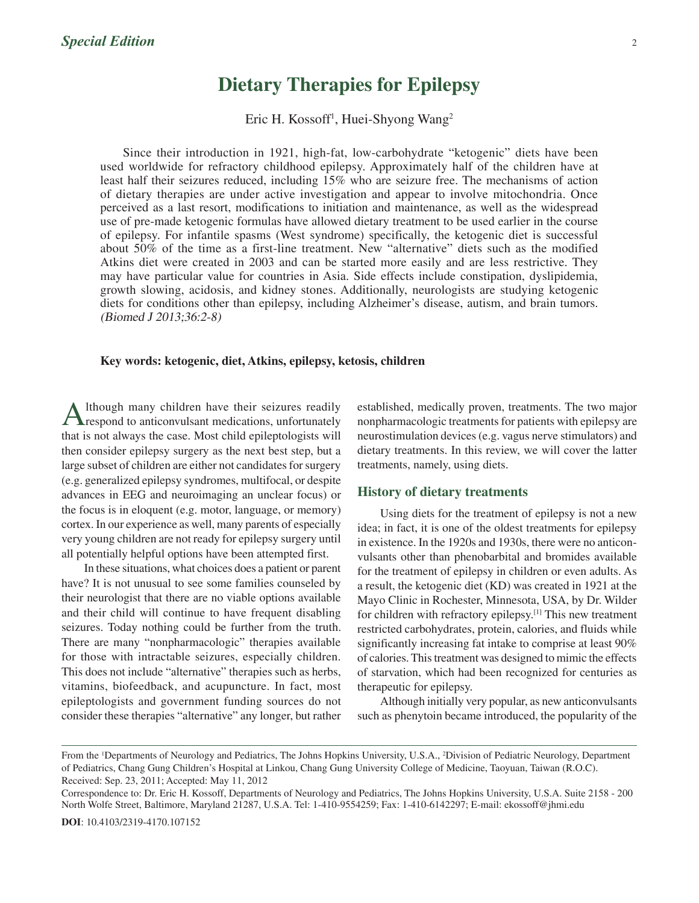# **Dietary Therapies for Epilepsy**

Eric H. Kossoff<sup>1</sup>, Huei-Shyong Wang<sup>2</sup>

Since their introduction in 1921, high-fat, low-carbohydrate "ketogenic" diets have been used worldwide for refractory childhood epilepsy. Approximately half of the children have at least half their seizures reduced, including 15% who are seizure free. The mechanisms of action of dietary therapies are under active investigation and appear to involve mitochondria. Once perceived as a last resort, modifications to initiation and maintenance, as well as the widespread use of pre-made ketogenic formulas have allowed dietary treatment to be used earlier in the course of epilepsy. For infantile spasms (West syndrome) specifically, the ketogenic diet is successful about 50% of the time as a first-line treatment. New "alternative" diets such as the modified Atkins diet were created in 2003 and can be started more easily and are less restrictive. They may have particular value for countries in Asia. Side effects include constipation, dyslipidemia, growth slowing, acidosis, and kidney stones. Additionally, neurologists are studying ketogenic diets for conditions other than epilepsy, including Alzheimer's disease, autism, and brain tumors. (Biomed J 2013;36:2-8)

#### **Key words: ketogenic, diet, Atkins, epilepsy, ketosis, children**

Ithough many children have their seizures readily respond to anticonvulsant medications, unfortunately that is not always the case. Most child epileptologists will then consider epilepsy surgery as the next best step, but a large subset of children are either not candidates for surgery (e.g. generalized epilepsy syndromes, multifocal, or despite advances in EEG and neuroimaging an unclear focus) or the focus is in eloquent (e.g. motor, language, or memory) cortex. In our experience as well, many parents of especially very young children are not ready for epilepsy surgery until all potentially helpful options have been attempted first.

In these situations, what choices does a patient or parent have? It is not unusual to see some families counseled by their neurologist that there are no viable options available and their child will continue to have frequent disabling seizures. Today nothing could be further from the truth. There are many "nonpharmacologic" therapies available for those with intractable seizures, especially children. This does not include "alternative" therapies such as herbs, vitamins, biofeedback, and acupuncture. In fact, most epileptologists and government funding sources do not consider these therapies "alternative" any longer, but rather established, medically proven, treatments. The two major nonpharmacologic treatments for patients with epilepsy are neurostimulation devices (e.g. vagus nerve stimulators) and dietary treatments. In this review, we will cover the latter treatments, namely, using diets.

#### **History of dietary treatments**

Using diets for the treatment of epilepsy is not a new idea; in fact, it is one of the oldest treatments for epilepsy in existence. In the 1920s and 1930s, there were no anticonvulsants other than phenobarbital and bromides available for the treatment of epilepsy in children or even adults. As a result, the ketogenic diet (KD) was created in 1921 at the Mayo Clinic in Rochester, Minnesota, USA, by Dr. Wilder for children with refractory epilepsy.[1] This new treatment restricted carbohydrates, protein, calories, and fluids while significantly increasing fat intake to comprise at least 90% of calories. This treatment was designed to mimic the effects of starvation, which had been recognized for centuries as therapeutic for epilepsy.

Although initially very popular, as new anticonvulsants such as phenytoin became introduced, the popularity of the

From the 'Departments of Neurology and Pediatrics, The Johns Hopkins University, U.S.A., <sup>2</sup>Division of Pediatric Neurology, Department of Pediatrics, Chang Gung Children's Hospital at Linkou, Chang Gung University College of Medicine, Taoyuan, Taiwan (R.O.C). Received: Sep. 23, 2011; Accepted: May 11, 2012

Correspondence to: Dr. Eric H. Kossoff, Departments of Neurology and Pediatrics, The Johns Hopkins University, U.S.A. Suite 2158 - 200 North Wolfe Street, Baltimore, Maryland 21287, U.S.A. Tel: 1-410-9554259; Fax: 1-410-6142297; E‑mail: ekossoff@jhmi.edu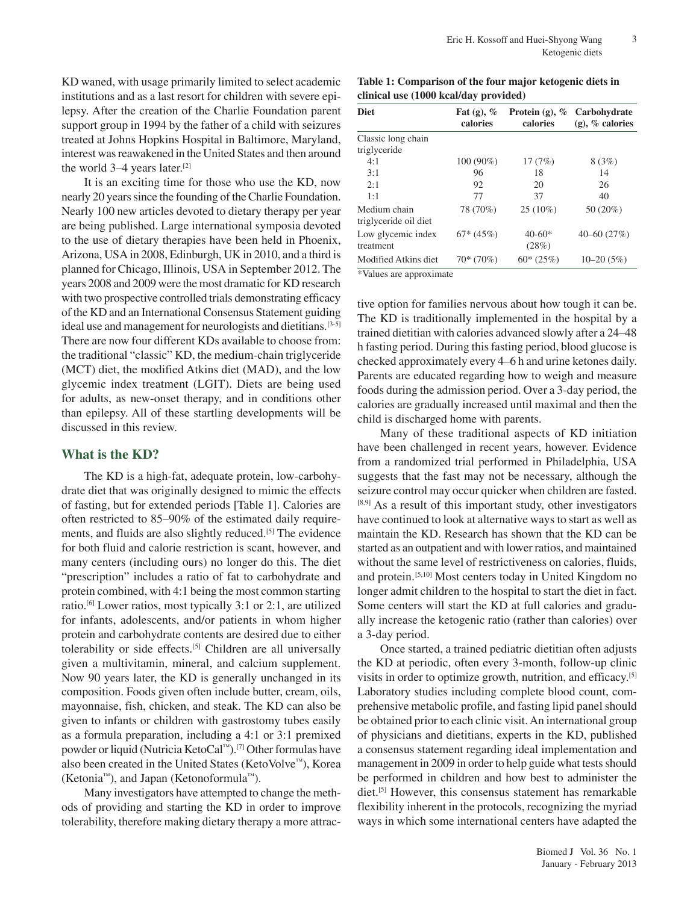KD waned, with usage primarily limited to select academic institutions and as a last resort for children with severe epilepsy. After the creation of the Charlie Foundation parent support group in 1994 by the father of a child with seizures treated at Johns Hopkins Hospital in Baltimore, Maryland, interest was reawakened in the United States and then around the world 3–4 years later.[2]

It is an exciting time for those who use the KD, now nearly 20 years since the founding of the Charlie Foundation. Nearly 100 new articles devoted to dietary therapy per year are being published. Large international symposia devoted to the use of dietary therapies have been held in Phoenix, Arizona, USA in 2008, Edinburgh, UK in 2010, and a third is planned for Chicago, Illinois, USA in September 2012. The years 2008 and 2009 were the most dramatic for KD research with two prospective controlled trials demonstrating efficacy of the KD and an International Consensus Statement guiding ideal use and management for neurologists and dietitians.<sup>[3-5]</sup> There are now four different KDs available to choose from: the traditional "classic" KD, the medium-chain triglyceride (MCT) diet, the modified Atkins diet (MAD), and the low glycemic index treatment (LGIT). Diets are being used for adults, as new-onset therapy, and in conditions other than epilepsy. All of these startling developments will be discussed in this review.

## **What is the KD?**

The KD is a high-fat, adequate protein, low-carbohydrate diet that was originally designed to mimic the effects of fasting, but for extended periods [Table 1]. Calories are often restricted to 85–90% of the estimated daily requirements, and fluids are also slightly reduced.[5] The evidence for both fluid and calorie restriction is scant, however, and many centers (including ours) no longer do this. The diet "prescription" includes a ratio of fat to carbohydrate and protein combined, with 4:1 being the most common starting ratio.[6] Lower ratios, most typically 3:1 or 2:1, are utilized for infants, adolescents, and/or patients in whom higher protein and carbohydrate contents are desired due to either tolerability or side effects.[5] Children are all universally given a multivitamin, mineral, and calcium supplement. Now 90 years later, the KD is generally unchanged in its composition. Foods given often include butter, cream, oils, mayonnaise, fish, chicken, and steak. The KD can also be given to infants or children with gastrostomy tubes easily as a formula preparation, including a 4:1 or 3:1 premixed powder or liquid (Nutricia KetoCal™).[7] Other formulas have also been created in the United States (KetoVolve™), Korea (Ketonia™), and Japan (Ketonoformula™).

Many investigators have attempted to change the methods of providing and starting the KD in order to improve tolerability, therefore making dietary therapy a more attrac-

**Table 1: Comparison of the four major ketogenic diets in clinical use (1000 kcal/day provided)**

| <b>Diet</b>           | Fat $(g)$ , %<br>calories | Protein $(g)$ , %<br>calories | Carbohydrate<br>$(g)$ , % calories |  |
|-----------------------|---------------------------|-------------------------------|------------------------------------|--|
| Classic long chain    |                           |                               |                                    |  |
| triglyceride          |                           |                               |                                    |  |
| 4:1                   | $100(90\%)$               | 17(7%)                        | 8(3%)                              |  |
| 3:1                   | 96                        | 18                            | 14                                 |  |
| 2:1                   | 92                        | 20                            | 26                                 |  |
| 1:1                   | 77                        | 37                            | 40                                 |  |
| Medium chain          | 78 (70%)                  | $25(10\%)$                    | 50 (20%)                           |  |
| triglyceride oil diet |                           |                               |                                    |  |
| Low glycemic index    | $67*(45%)$                | $40-60*$                      | $40 - 60(27%)$                     |  |
| treatment             |                           | (28%)                         |                                    |  |
| Modified Atkins diet  | $70*(70%)$                | $60*(25%)$                    | $10 - 20(5%)$                      |  |

\*Values are approximate

tive option for families nervous about how tough it can be. The KD is traditionally implemented in the hospital by a trained dietitian with calories advanced slowly after a 24–48 h fasting period. During this fasting period, blood glucose is checked approximately every 4–6 h and urine ketones daily. Parents are educated regarding how to weigh and measure foods during the admission period. Over a 3-day period, the calories are gradually increased until maximal and then the child is discharged home with parents.

Many of these traditional aspects of KD initiation have been challenged in recent years, however. Evidence from a randomized trial performed in Philadelphia, USA suggests that the fast may not be necessary, although the seizure control may occur quicker when children are fasted. [8,9] As a result of this important study, other investigators have continued to look at alternative ways to start as well as maintain the KD. Research has shown that the KD can be started as an outpatient and with lower ratios, and maintained without the same level of restrictiveness on calories, fluids, and protein.[5,10] Most centers today in United Kingdom no longer admit children to the hospital to start the diet in fact. Some centers will start the KD at full calories and gradually increase the ketogenic ratio (rather than calories) over a 3-day period.

Once started, a trained pediatric dietitian often adjusts the KD at periodic, often every 3-month, follow-up clinic visits in order to optimize growth, nutrition, and efficacy.[5] Laboratory studies including complete blood count, comprehensive metabolic profile, and fasting lipid panel should be obtained prior to each clinic visit. An international group of physicians and dietitians, experts in the KD, published a consensus statement regarding ideal implementation and management in 2009 in order to help guide what tests should be performed in children and how best to administer the diet.[5] However, this consensus statement has remarkable flexibility inherent in the protocols, recognizing the myriad ways in which some international centers have adapted the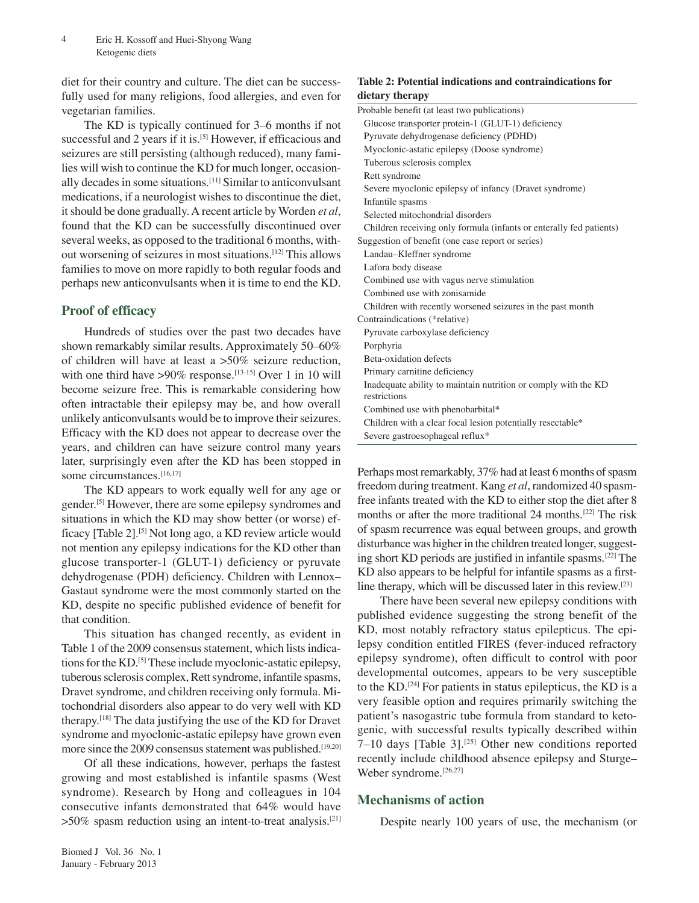diet for their country and culture. The diet can be successfully used for many religions, food allergies, and even for vegetarian families.

The KD is typically continued for 3–6 months if not successful and 2 years if it is.<sup>[5]</sup> However, if efficacious and seizures are still persisting (although reduced), many families will wish to continue the KD for much longer, occasionally decades in some situations.[11] Similar to anticonvulsant medications, if a neurologist wishes to discontinue the diet, it should be done gradually. A recent article by Worden *et al*, found that the KD can be successfully discontinued over several weeks, as opposed to the traditional 6 months, without worsening of seizures in most situations.[12] This allows families to move on more rapidly to both regular foods and perhaps new anticonvulsants when it is time to end the KD.

## **Proof of efficacy**

Hundreds of studies over the past two decades have shown remarkably similar results. Approximately 50–60% of children will have at least a >50% seizure reduction, with one third have  $>90\%$  response.<sup>[13-15]</sup> Over 1 in 10 will become seizure free. This is remarkable considering how often intractable their epilepsy may be, and how overall unlikely anticonvulsants would be to improve their seizures. Efficacy with the KD does not appear to decrease over the years, and children can have seizure control many years later, surprisingly even after the KD has been stopped in some circumstances.<sup>[16,17]</sup>

The KD appears to work equally well for any age or gender.[5] However, there are some epilepsy syndromes and situations in which the KD may show better (or worse) efficacy [Table 2].[5] Not long ago, a KD review article would not mention any epilepsy indications for the KD other than glucose transporter-1 (GLUT-1) deficiency or pyruvate dehydrogenase (PDH) deficiency. Children with Lennox– Gastaut syndrome were the most commonly started on the KD, despite no specific published evidence of benefit for that condition.

This situation has changed recently, as evident in Table 1 of the 2009 consensus statement, which lists indications for the KD.[5] These include myoclonic-astatic epilepsy, tuberous sclerosis complex, Rett syndrome, infantile spasms, Dravet syndrome, and children receiving only formula. Mitochondrial disorders also appear to do very well with KD therapy.[18] The data justifying the use of the KD for Dravet syndrome and myoclonic-astatic epilepsy have grown even more since the 2009 consensus statement was published.<sup>[19,20]</sup>

Of all these indications, however, perhaps the fastest growing and most established is infantile spasms (West syndrome). Research by Hong and colleagues in 104 consecutive infants demonstrated that 64% would have >50% spasm reduction using an intent-to-treat analysis.[21]

## **Table 2: Potential indications and contraindications for dietary therapy**

| Probable benefit (at least two publications)                        |  |  |  |
|---------------------------------------------------------------------|--|--|--|
| Glucose transporter protein-1 (GLUT-1) deficiency                   |  |  |  |
| Pyruvate dehydrogenase deficiency (PDHD)                            |  |  |  |
| Myoclonic-astatic epilepsy (Doose syndrome)                         |  |  |  |
| Tuberous sclerosis complex                                          |  |  |  |
| Rett syndrome                                                       |  |  |  |
| Severe myoclonic epilepsy of infancy (Dravet syndrome)              |  |  |  |
| Infantile spasms                                                    |  |  |  |
| Selected mitochondrial disorders                                    |  |  |  |
| Children receiving only formula (infants or enterally fed patients) |  |  |  |
| Suggestion of benefit (one case report or series)                   |  |  |  |
| Landau-Kleffner syndrome                                            |  |  |  |
| Lafora body disease                                                 |  |  |  |
| Combined use with vagus nerve stimulation                           |  |  |  |
| Combined use with zonisamide                                        |  |  |  |
| Children with recently worsened seizures in the past month          |  |  |  |
| Contraindications (*relative)                                       |  |  |  |
| Pyruvate carboxylase deficiency                                     |  |  |  |
| Porphyria                                                           |  |  |  |
| Beta-oxidation defects                                              |  |  |  |
| Primary carnitine deficiency                                        |  |  |  |
| Inadequate ability to maintain nutrition or comply with the KD      |  |  |  |
| restrictions                                                        |  |  |  |
| Combined use with phenobarbital*                                    |  |  |  |
| Children with a clear focal lesion potentially resectable*          |  |  |  |
| Severe gastroesophageal reflux*                                     |  |  |  |
|                                                                     |  |  |  |

Perhaps most remarkably, 37% had at least 6 months of spasm freedom during treatment. Kang *et al*, randomized 40 spasmfree infants treated with the KD to either stop the diet after 8 months or after the more traditional 24 months.[22] The risk of spasm recurrence was equal between groups, and growth disturbance was higher in the children treated longer, suggesting short KD periods are justified in infantile spasms.[22] The KD also appears to be helpful for infantile spasms as a firstline therapy, which will be discussed later in this review.[23]

There have been several new epilepsy conditions with published evidence suggesting the strong benefit of the KD, most notably refractory status epilepticus. The epilepsy condition entitled FIRES (fever-induced refractory epilepsy syndrome), often difficult to control with poor developmental outcomes, appears to be very susceptible to the KD.[24] For patients in status epilepticus, the KD is a very feasible option and requires primarily switching the patient's nasogastric tube formula from standard to ketogenic, with successful results typically described within  $7-10$  days [Table 3].<sup>[25]</sup> Other new conditions reported recently include childhood absence epilepsy and Sturge– Weber syndrome.<sup>[26,27]</sup>

# **Mechanisms of action**

Despite nearly 100 years of use, the mechanism (or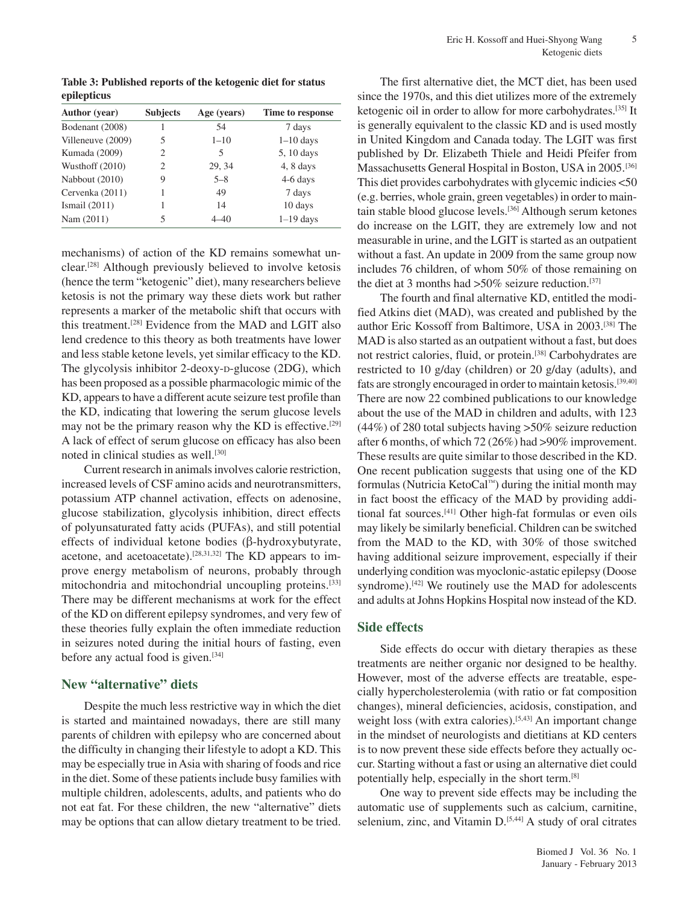**Table 3: Published reports of the ketogenic diet for status epilepticus**

| <b>Author</b> (year) | <b>Subjects</b> | Age (years) | Time to response |
|----------------------|-----------------|-------------|------------------|
| Bodenant (2008)      |                 | 54          | 7 days           |
| Villeneuve (2009)    | 5               | $1 - 10$    | $1-10$ days      |
| Kumada (2009)        | 2               | 5           | 5, 10 days       |
| Wusthoff $(2010)$    | 2               | 29, 34      | $4, 8$ days      |
| Nabbout (2010)       | 9               | $5 - 8$     | 4-6 days         |
| Cervenka (2011)      |                 | 49          | 7 days           |
| Ismail $(2011)$      |                 | 14          | 10 days          |
| Nam (2011)           | 5               | $4 - 40$    | $1-19$ days      |

mechanisms) of action of the KD remains somewhat unclear.[28] Although previously believed to involve ketosis (hence the term "ketogenic" diet), many researchers believe ketosis is not the primary way these diets work but rather represents a marker of the metabolic shift that occurs with this treatment.[28] Evidence from the MAD and LGIT also lend credence to this theory as both treatments have lower and less stable ketone levels, yet similar efficacy to the KD. The glycolysis inhibitor 2-deoxy-p-glucose (2DG), which has been proposed as a possible pharmacologic mimic of the KD, appears to have a different acute seizure test profile than the KD, indicating that lowering the serum glucose levels may not be the primary reason why the KD is effective.<sup>[29]</sup> A lack of effect of serum glucose on efficacy has also been noted in clinical studies as well.<sup>[30]</sup>

Current research in animals involves calorie restriction, increased levels of CSF amino acids and neurotransmitters, potassium ATP channel activation, effects on adenosine, glucose stabilization, glycolysis inhibition, direct effects of polyunsaturated fatty acids (PUFAs), and still potential effects of individual ketone bodies (β-hydroxybutyrate, acetone, and acetoacetate).<sup>[28,31,32]</sup> The KD appears to improve energy metabolism of neurons, probably through mitochondria and mitochondrial uncoupling proteins.[33] There may be different mechanisms at work for the effect of the KD on different epilepsy syndromes, and very few of these theories fully explain the often immediate reduction in seizures noted during the initial hours of fasting, even before any actual food is given.[34]

## **New "alternative" diets**

Despite the much less restrictive way in which the diet is started and maintained nowadays, there are still many parents of children with epilepsy who are concerned about the difficulty in changing their lifestyle to adopt a KD. This may be especially true in Asia with sharing of foods and rice in the diet. Some of these patients include busy families with multiple children, adolescents, adults, and patients who do not eat fat. For these children, the new "alternative" diets may be options that can allow dietary treatment to be tried.

The first alternative diet, the MCT diet, has been used since the 1970s, and this diet utilizes more of the extremely ketogenic oil in order to allow for more carbohydrates.[35] It is generally equivalent to the classic KD and is used mostly in United Kingdom and Canada today. The LGIT was first published by Dr. Elizabeth Thiele and Heidi Pfeifer from Massachusetts General Hospital in Boston, USA in 2005.[36] This diet provides carbohydrates with glycemic indicies <50 (e.g. berries, whole grain, green vegetables) in order to maintain stable blood glucose levels.[36] Although serum ketones do increase on the LGIT, they are extremely low and not measurable in urine, and the LGIT is started as an outpatient without a fast. An update in 2009 from the same group now includes 76 children, of whom 50% of those remaining on the diet at 3 months had  $>50\%$  seizure reduction.<sup>[37]</sup>

The fourth and final alternative KD, entitled the modified Atkins diet (MAD), was created and published by the author Eric Kossoff from Baltimore, USA in 2003.[38] The MAD is also started as an outpatient without a fast, but does not restrict calories, fluid, or protein.[38] Carbohydrates are restricted to 10 g/day (children) or 20 g/day (adults), and fats are strongly encouraged in order to maintain ketosis.<sup>[39,40]</sup> There are now 22 combined publications to our knowledge about the use of the MAD in children and adults, with 123 (44%) of 280 total subjects having >50% seizure reduction after 6 months, of which 72 (26%) had >90% improvement. These results are quite similar to those described in the KD. One recent publication suggests that using one of the KD formulas (Nutricia KetoCal™) during the initial month may in fact boost the efficacy of the MAD by providing additional fat sources.[41] Other high-fat formulas or even oils may likely be similarly beneficial. Children can be switched from the MAD to the KD, with 30% of those switched having additional seizure improvement, especially if their underlying condition was myoclonic-astatic epilepsy (Doose syndrome).<sup>[42]</sup> We routinely use the MAD for adolescents and adults at Johns Hopkins Hospital now instead of the KD.

#### **Side effects**

Side effects do occur with dietary therapies as these treatments are neither organic nor designed to be healthy. However, most of the adverse effects are treatable, especially hypercholesterolemia (with ratio or fat composition changes), mineral deficiencies, acidosis, constipation, and weight loss (with extra calories).<sup>[5,43]</sup> An important change in the mindset of neurologists and dietitians at KD centers is to now prevent these side effects before they actually occur. Starting without a fast or using an alternative diet could potentially help, especially in the short term.[8]

One way to prevent side effects may be including the automatic use of supplements such as calcium, carnitine, selenium, zinc, and Vitamin  $D^{[5,44]}$  A study of oral citrates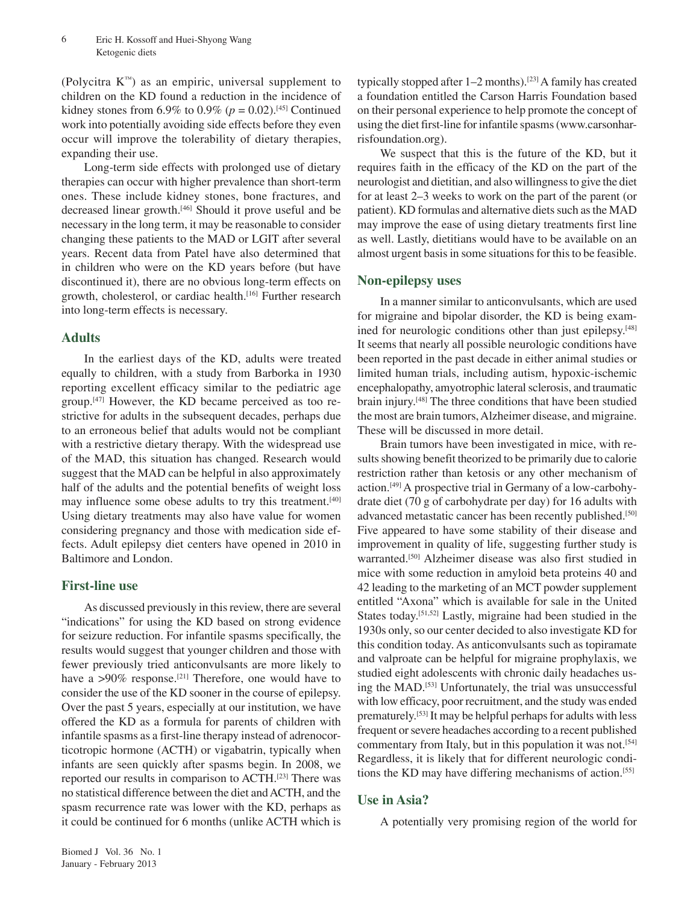(Polycitra  $K^M$ ) as an empiric, universal supplement to children on the KD found a reduction in the incidence of kidney stones from 6.9% to  $0.9\%$  ( $p = 0.02$ ).<sup>[45]</sup> Continued work into potentially avoiding side effects before they even occur will improve the tolerability of dietary therapies, expanding their use.

Long-term side effects with prolonged use of dietary therapies can occur with higher prevalence than short-term ones. These include kidney stones, bone fractures, and decreased linear growth.[46] Should it prove useful and be necessary in the long term, it may be reasonable to consider changing these patients to the MAD or LGIT after several years. Recent data from Patel have also determined that in children who were on the KD years before (but have discontinued it), there are no obvious long-term effects on growth, cholesterol, or cardiac health.[16] Further research into long-term effects is necessary.

## **Adults**

In the earliest days of the KD, adults were treated equally to children, with a study from Barborka in 1930 reporting excellent efficacy similar to the pediatric age group.[47] However, the KD became perceived as too restrictive for adults in the subsequent decades, perhaps due to an erroneous belief that adults would not be compliant with a restrictive dietary therapy. With the widespread use of the MAD, this situation has changed. Research would suggest that the MAD can be helpful in also approximately half of the adults and the potential benefits of weight loss may influence some obese adults to try this treatment.<sup>[40]</sup> Using dietary treatments may also have value for women considering pregnancy and those with medication side effects. Adult epilepsy diet centers have opened in 2010 in Baltimore and London.

## **First-line use**

As discussed previously in this review, there are several "indications" for using the KD based on strong evidence for seizure reduction. For infantile spasms specifically, the results would suggest that younger children and those with fewer previously tried anticonvulsants are more likely to have a  $>90\%$  response.<sup>[21]</sup> Therefore, one would have to consider the use of the KD sooner in the course of epilepsy. Over the past 5 years, especially at our institution, we have offered the KD as a formula for parents of children with infantile spasms as a first-line therapy instead of adrenocorticotropic hormone (ACTH) or vigabatrin, typically when infants are seen quickly after spasms begin. In 2008, we reported our results in comparison to ACTH.[23] There was no statistical difference between the diet and ACTH, and the spasm recurrence rate was lower with the KD, perhaps as it could be continued for 6 months (unlike ACTH which is typically stopped after  $1-2$  months).<sup>[23]</sup> A family has created a foundation entitled the Carson Harris Foundation based on their personal experience to help promote the concept of using the diet first-line for infantile spasms (www.carsonharrisfoundation.org).

We suspect that this is the future of the KD, but it requires faith in the efficacy of the KD on the part of the neurologist and dietitian, and also willingness to give the diet for at least 2–3 weeks to work on the part of the parent (or patient). KD formulas and alternative diets such as the MAD may improve the ease of using dietary treatments first line as well. Lastly, dietitians would have to be available on an almost urgent basis in some situations for this to be feasible.

## **Non-epilepsy uses**

In a manner similar to anticonvulsants, which are used for migraine and bipolar disorder, the KD is being examined for neurologic conditions other than just epilepsy.<sup>[48]</sup> It seems that nearly all possible neurologic conditions have been reported in the past decade in either animal studies or limited human trials, including autism, hypoxic-ischemic encephalopathy, amyotrophic lateral sclerosis, and traumatic brain injury.[48] The three conditions that have been studied the most are brain tumors, Alzheimer disease, and migraine. These will be discussed in more detail.

Brain tumors have been investigated in mice, with results showing benefit theorized to be primarily due to calorie restriction rather than ketosis or any other mechanism of action.[49] A prospective trial in Germany of a low-carbohydrate diet (70 g of carbohydrate per day) for 16 adults with advanced metastatic cancer has been recently published.[50] Five appeared to have some stability of their disease and improvement in quality of life, suggesting further study is warranted.[50] Alzheimer disease was also first studied in mice with some reduction in amyloid beta proteins 40 and 42 leading to the marketing of an MCT powder supplement entitled "Axona" which is available for sale in the United States today.<sup>[51,52]</sup> Lastly, migraine had been studied in the 1930s only, so our center decided to also investigate KD for this condition today. As anticonvulsants such as topiramate and valproate can be helpful for migraine prophylaxis, we studied eight adolescents with chronic daily headaches using the MAD.[53] Unfortunately, the trial was unsuccessful with low efficacy, poor recruitment, and the study was ended prematurely.[53] It may be helpful perhaps for adults with less frequent or severe headaches according to a recent published commentary from Italy, but in this population it was not.[54] Regardless, it is likely that for different neurologic conditions the KD may have differing mechanisms of action.[55]

## **Use in Asia?**

A potentially very promising region of the world for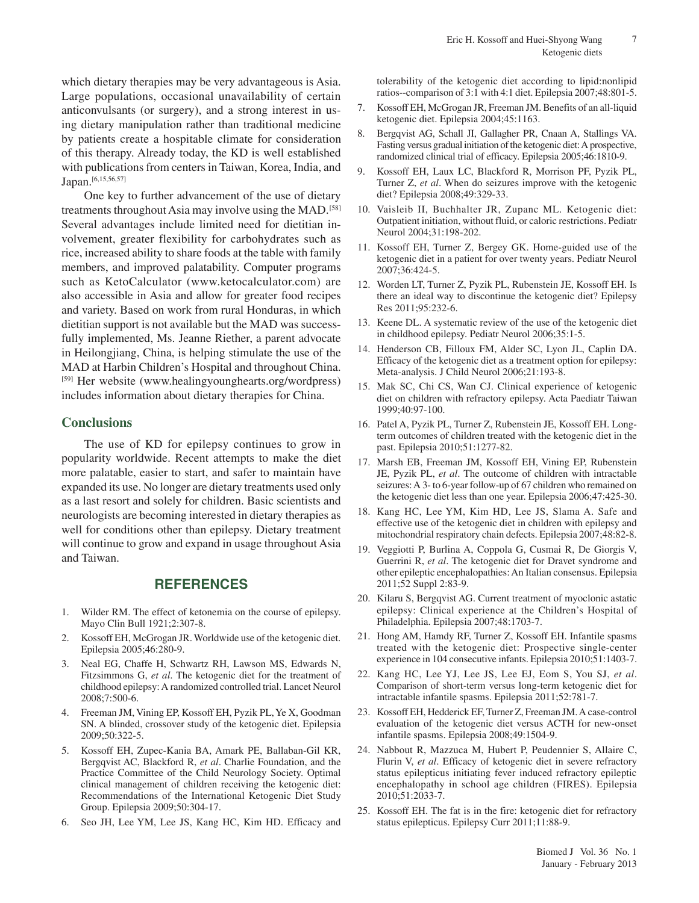which dietary therapies may be very advantageous is Asia. Large populations, occasional unavailability of certain anticonvulsants (or surgery), and a strong interest in using dietary manipulation rather than traditional medicine by patients create a hospitable climate for consideration of this therapy. Already today, the KD is well established with publications from centers in Taiwan, Korea, India, and Japan.<sup>[6,15,56,57]</sup>

One key to further advancement of the use of dietary treatments throughout Asia may involve using the MAD.[58] Several advantages include limited need for dietitian involvement, greater flexibility for carbohydrates such as rice, increased ability to share foods at the table with family members, and improved palatability. Computer programs such as KetoCalculator (www.ketocalculator.com) are also accessible in Asia and allow for greater food recipes and variety. Based on work from rural Honduras, in which dietitian support is not available but the MAD was successfully implemented, Ms. Jeanne Riether, a parent advocate in Heilongjiang, China, is helping stimulate the use of the MAD at Harbin Children's Hospital and throughout China. [59] Her website (www.healingyounghearts.org/wordpress) includes information about dietary therapies for China.

## **Conclusions**

The use of KD for epilepsy continues to grow in popularity worldwide. Recent attempts to make the diet more palatable, easier to start, and safer to maintain have expanded its use. No longer are dietary treatments used only as a last resort and solely for children. Basic scientists and neurologists are becoming interested in dietary therapies as well for conditions other than epilepsy. Dietary treatment will continue to grow and expand in usage throughout Asia and Taiwan.

## **REFERENCES**

- 1. Wilder RM. The effect of ketonemia on the course of epilepsy. Mayo Clin Bull 1921;2:307-8.
- 2. Kossoff EH, McGrogan JR. Worldwide use of the ketogenic diet. Epilepsia 2005;46:280-9.
- 3. Neal EG, Chaffe H, Schwartz RH, Lawson MS, Edwards N, Fitzsimmons G, *et al*. The ketogenic diet for the treatment of childhood epilepsy: A randomized controlled trial. Lancet Neurol 2008;7:500-6.
- 4. Freeman JM, Vining EP, Kossoff EH, Pyzik PL, Ye X, Goodman SN. A blinded, crossover study of the ketogenic diet. Epilepsia 2009;50:322-5.
- 5. Kossoff EH, Zupec-Kania BA, Amark PE, Ballaban-Gil KR, Bergqvist AC, Blackford R, *et al*. Charlie Foundation, and the Practice Committee of the Child Neurology Society. Optimal clinical management of children receiving the ketogenic diet: Recommendations of the International Ketogenic Diet Study Group. Epilepsia 2009;50:304-17.
- 6. Seo JH, Lee YM, Lee JS, Kang HC, Kim HD. Efficacy and

tolerability of the ketogenic diet according to lipid:nonlipid ratios--comparison of 3:1 with 4:1 diet. Epilepsia 2007;48:801-5.

- 7. Kossoff EH, McGrogan JR, Freeman JM. Benefits of an all-liquid ketogenic diet. Epilepsia 2004;45:1163.
- 8. Bergqvist AG, Schall JI, Gallagher PR, Cnaan A, Stallings VA. Fasting versus gradual initiation of the ketogenic diet: A prospective, randomized clinical trial of efficacy. Epilepsia 2005;46:1810-9.
- 9. Kossoff EH, Laux LC, Blackford R, Morrison PF, Pyzik PL, Turner Z, *et al*. When do seizures improve with the ketogenic diet? Epilepsia 2008;49:329-33.
- 10. Vaisleib II, Buchhalter JR, Zupanc ML. Ketogenic diet: Outpatient initiation, without fluid, or caloric restrictions. Pediatr Neurol 2004;31:198-202.
- 11. Kossoff EH, Turner Z, Bergey GK. Home-guided use of the ketogenic diet in a patient for over twenty years. Pediatr Neurol 2007;36:424-5.
- 12. Worden LT, Turner Z, Pyzik PL, Rubenstein JE, Kossoff EH. Is there an ideal way to discontinue the ketogenic diet? Epilepsy Res 2011;95:232-6.
- 13. Keene DL. A systematic review of the use of the ketogenic diet in childhood epilepsy. Pediatr Neurol 2006;35:1-5.
- 14. Henderson CB, Filloux FM, Alder SC, Lyon JL, Caplin DA. Efficacy of the ketogenic diet as a treatment option for epilepsy: Meta-analysis. J Child Neurol 2006;21:193-8.
- 15. Mak SC, Chi CS, Wan CJ. Clinical experience of ketogenic diet on children with refractory epilepsy. Acta Paediatr Taiwan 1999;40:97-100.
- 16. Patel A, Pyzik PL, Turner Z, Rubenstein JE, Kossoff EH. Longterm outcomes of children treated with the ketogenic diet in the past. Epilepsia 2010;51:1277-82.
- 17. Marsh EB, Freeman JM, Kossoff EH, Vining EP, Rubenstein JE, Pyzik PL, *et al*. The outcome of children with intractable seizures: A 3- to 6-year follow-up of 67 children who remained on the ketogenic diet less than one year. Epilepsia 2006;47:425-30.
- 18. Kang HC, Lee YM, Kim HD, Lee JS, Slama A. Safe and effective use of the ketogenic diet in children with epilepsy and mitochondrial respiratory chain defects. Epilepsia 2007;48:82-8.
- 19. Veggiotti P, Burlina A, Coppola G, Cusmai R, De Giorgis V, Guerrini R, *et al*. The ketogenic diet for Dravet syndrome and other epileptic encephalopathies: An Italian consensus. Epilepsia 2011;52 Suppl 2:83-9.
- 20. Kilaru S, Bergqvist AG. Current treatment of myoclonic astatic epilepsy: Clinical experience at the Children's Hospital of Philadelphia. Epilepsia 2007;48:1703-7.
- 21. Hong AM, Hamdy RF, Turner Z, Kossoff EH. Infantile spasms treated with the ketogenic diet: Prospective single-center experience in 104 consecutive infants. Epilepsia 2010;51:1403-7.
- 22. Kang HC, Lee YJ, Lee JS, Lee EJ, Eom S, You SJ, *et al*. Comparison of short-term versus long-term ketogenic diet for intractable infantile spasms. Epilepsia 2011;52:781-7.
- 23. Kossoff EH, Hedderick EF, Turner Z, Freeman JM. A case-control evaluation of the ketogenic diet versus ACTH for new-onset infantile spasms. Epilepsia 2008;49:1504-9.
- 24. Nabbout R, Mazzuca M, Hubert P, Peudennier S, Allaire C, Flurin V, *et al*. Efficacy of ketogenic diet in severe refractory status epilepticus initiating fever induced refractory epileptic encephalopathy in school age children (FIRES). Epilepsia 2010;51:2033-7.
- 25. Kossoff EH. The fat is in the fire: ketogenic diet for refractory status epilepticus. Epilepsy Curr 2011;11:88-9.